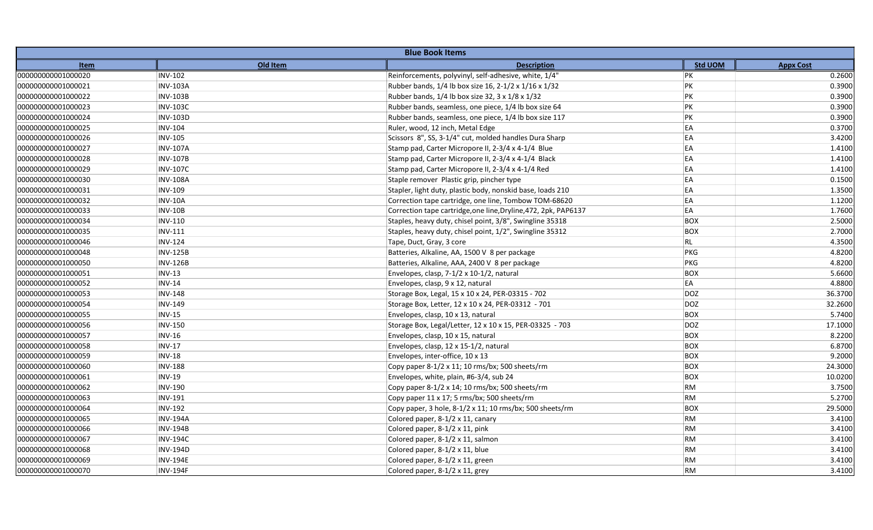| <b>Blue Book Items</b> |                 |                                                                 |                |                  |  |
|------------------------|-----------------|-----------------------------------------------------------------|----------------|------------------|--|
| Item                   | Old Item        | <b>Description</b>                                              | <b>Std UOM</b> | <b>Appx Cost</b> |  |
| 000000000001000020     | <b>INV-102</b>  | Reinforcements, polyvinyl, self-adhesive, white, 1/4"           | PK             | 0.2600           |  |
| 000000000001000021     | <b>INV-103A</b> | Rubber bands, 1/4 lb box size 16, 2-1/2 x 1/16 x 1/32           | PK             | 0.3900           |  |
| 000000000001000022     | <b>INV-103B</b> | Rubber bands, 1/4 lb box size 32, 3 x 1/8 x 1/32                | PK             | 0.3900           |  |
| 000000000001000023     | <b>INV-103C</b> | Rubber bands, seamless, one piece, 1/4 lb box size 64           | PK             | 0.3900           |  |
| 000000000001000024     | <b>INV-103D</b> | Rubber bands, seamless, one piece, 1/4 lb box size 117          | PK             | 0.3900           |  |
| 000000000001000025     | <b>INV-104</b>  | Ruler, wood, 12 inch, Metal Edge                                | EA             | 0.3700           |  |
| 000000000001000026     | <b>INV-105</b>  | Scissors 8", SS, 3-1/4" cut, molded handles Dura Sharp          | EA             | 3.4200           |  |
| 000000000001000027     | <b>INV-107A</b> | Stamp pad, Carter Micropore II, 2-3/4 x 4-1/4 Blue              | EA             | 1.4100           |  |
| 000000000001000028     | <b>INV-107B</b> | Stamp pad, Carter Micropore II, 2-3/4 x 4-1/4 Black             | EA             | 1.4100           |  |
| 000000000001000029     | <b>INV-107C</b> | Stamp pad, Carter Micropore II, 2-3/4 x 4-1/4 Red               | EA             | 1.4100           |  |
| 000000000001000030     | <b>INV-108A</b> | Staple remover Plastic grip, pincher type                       | EA             | 0.1500           |  |
| 000000000001000031     | <b>INV-109</b>  | Stapler, light duty, plastic body, nonskid base, loads 210      | EA             | 1.3500           |  |
| 000000000001000032     | <b>INV-10A</b>  | Correction tape cartridge, one line, Tombow TOM-68620           | EA             | 1.1200           |  |
| 000000000001000033     | <b>INV-10B</b>  | Correction tape cartridge, one line, Dryline, 472, 2pk, PAP6137 | EA             | 1.7600           |  |
| 000000000001000034     | <b>INV-110</b>  | Staples, heavy duty, chisel point, 3/8", Swingline 35318        | <b>BOX</b>     | 2.5000           |  |
| 000000000001000035     | <b>INV-111</b>  | Staples, heavy duty, chisel point, 1/2", Swingline 35312        | <b>BOX</b>     | 2.7000           |  |
| 000000000001000046     | <b>INV-124</b>  | Tape, Duct, Gray, 3 core                                        | RL             | 4.3500           |  |
| 000000000001000048     | <b>INV-125B</b> | Batteries, Alkaline, AA, 1500 V 8 per package                   | PKG            | 4.8200           |  |
| 000000000001000050     | <b>INV-126B</b> | Batteries, Alkaline, AAA, 2400 V 8 per package                  | PKG            | 4.8200           |  |
| 000000000001000051     | $INV-13$        | Envelopes, clasp, 7-1/2 x 10-1/2, natural                       | <b>BOX</b>     | 5.6600           |  |
| 000000000001000052     | <b>INV-14</b>   | Envelopes, clasp, 9 x 12, natural                               | EA             | 4.8800           |  |
| 000000000001000053     | <b>INV-148</b>  | Storage Box, Legal, 15 x 10 x 24, PER-03315 - 702               | DOZ            | 36.3700          |  |
| 000000000001000054     | <b>INV-149</b>  | Storage Box, Letter, 12 x 10 x 24, PER-03312 - 701              | DOZ            | 32.2600          |  |
| 000000000001000055     | <b>INV-15</b>   | Envelopes, clasp, 10 x 13, natural                              | <b>BOX</b>     | 5.7400           |  |
| 000000000001000056     | <b>INV-150</b>  | Storage Box, Legal/Letter, 12 x 10 x 15, PER-03325 - 703        | <b>DOZ</b>     | 17.1000          |  |
| 000000000001000057     | <b>INV-16</b>   | Envelopes, clasp, 10 x 15, natural                              | BOX            | 8.2200           |  |
| 000000000001000058     | <b>INV-17</b>   | Envelopes, clasp, 12 x 15-1/2, natural                          | <b>BOX</b>     | 6.8700           |  |
| 000000000001000059     | <b>INV-18</b>   | Envelopes, inter-office, 10 x 13                                | <b>BOX</b>     | 9.2000           |  |
| 000000000001000060     | <b>INV-188</b>  | Copy paper 8-1/2 x 11; 10 rms/bx; 500 sheets/rm                 | <b>BOX</b>     | 24.3000          |  |
| 000000000001000061     | <b>INV-19</b>   | Envelopes, white, plain, #6-3/4, sub 24                         | BOX            | 10.0200          |  |
| 000000000001000062     | <b>INV-190</b>  | Copy paper 8-1/2 x 14; 10 rms/bx; 500 sheets/rm                 | <b>RM</b>      | 3.7500           |  |
| 000000000001000063     | <b>INV-191</b>  | Copy paper 11 x 17; 5 rms/bx; 500 sheets/rm                     | <b>RM</b>      | 5.2700           |  |
| 000000000001000064     | <b>INV-192</b>  | Copy paper, 3 hole, 8-1/2 x 11; 10 rms/bx; 500 sheets/rm        | BOX            | 29.5000          |  |
| 000000000001000065     | <b>INV-194A</b> | Colored paper, 8-1/2 x 11, canary                               | RM             | 3.4100           |  |
| 000000000001000066     | <b>INV-194B</b> | Colored paper, 8-1/2 x 11, pink                                 | <b>RM</b>      | 3.4100           |  |
| 000000000001000067     | <b>INV-194C</b> | Colored paper, 8-1/2 x 11, salmon                               | RM             | 3.4100           |  |
| 000000000001000068     | <b>INV-194D</b> | Colored paper, 8-1/2 x 11, blue                                 | <b>RM</b>      | 3.4100           |  |
| 000000000001000069     | <b>INV-194E</b> | Colored paper, 8-1/2 x 11, green                                | <b>RM</b>      | 3.4100           |  |
| 000000000001000070     | <b>INV-194F</b> | Colored paper, 8-1/2 x 11, grey                                 | <b>RM</b>      | 3.4100           |  |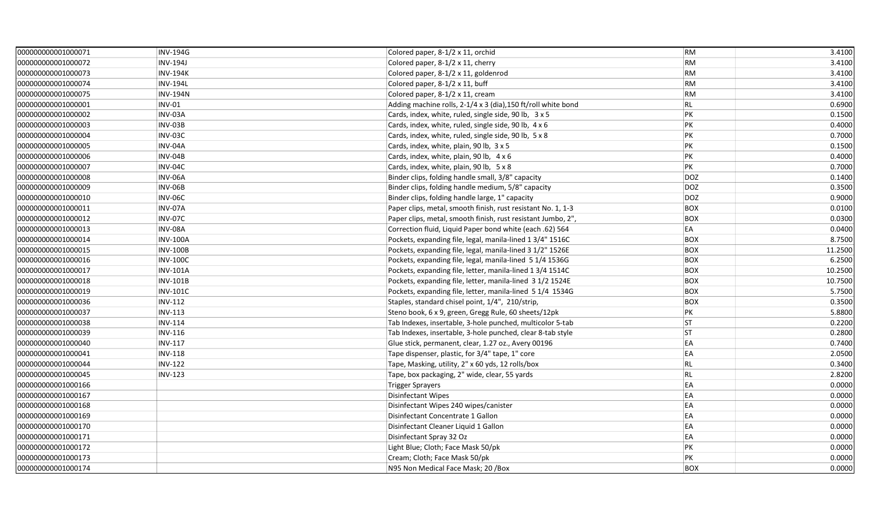| 000000000001000071 | <b>INV-194G</b> | Colored paper, 8-1/2 x 11, orchid                             | <b>RM</b>  | 3.4100  |
|--------------------|-----------------|---------------------------------------------------------------|------------|---------|
| 000000000001000072 | <b>INV-194J</b> | Colored paper, 8-1/2 x 11, cherry                             | <b>RM</b>  | 3.4100  |
| 000000000001000073 | <b>INV-194K</b> | Colored paper, 8-1/2 x 11, goldenrod                          | <b>RM</b>  | 3.4100  |
| 000000000001000074 | <b>INV-194L</b> | Colored paper, 8-1/2 x 11, buff                               | RM         | 3.4100  |
| 000000000001000075 | <b>INV-194N</b> | Colored paper, 8-1/2 x 11, cream                              | <b>RM</b>  | 3.4100  |
| 000000000001000001 | <b>INV-01</b>   | Adding machine rolls, 2-1/4 x 3 (dia), 150 ft/roll white bond | RL         | 0.6900  |
| 000000000001000002 | INV-03A         | Cards, index, white, ruled, single side, 90 lb, 3 x 5         | PK         | 0.1500  |
| 000000000001000003 | <b>INV-03B</b>  | Cards, index, white, ruled, single side, 90 lb, 4 x 6         | PK         | 0.4000  |
| 000000000001000004 | INV-03C         | Cards, index, white, ruled, single side, 90 lb, 5 x 8         | PK         | 0.7000  |
| 000000000001000005 | INV-04A         | Cards, index, white, plain, 90 lb, 3 x 5                      | PK         | 0.1500  |
| 000000000001000006 | INV-04B         | Cards, index, white, plain, 90 lb, 4 x 6                      | PK         | 0.4000  |
| 000000000001000007 | INV-04C         | Cards, index, white, plain, 90 lb, 5 x 8                      | PK         | 0.7000  |
| 000000000001000008 | INV-06A         | Binder clips, folding handle small, 3/8" capacity             | <b>DOZ</b> | 0.1400  |
| 000000000001000009 | INV-06B         | Binder clips, folding handle medium, 5/8" capacity            | <b>DOZ</b> | 0.3500  |
| 000000000001000010 | <b>INV-06C</b>  | Binder clips, folding handle large, 1" capacity               | <b>DOZ</b> | 0.9000  |
| 000000000001000011 | INV-07A         | Paper clips, metal, smooth finish, rust resistant No. 1, 1-3  | <b>BOX</b> | 0.0100  |
| 000000000001000012 | <b>INV-07C</b>  | Paper clips, metal, smooth finish, rust resistant Jumbo, 2",  | <b>BOX</b> | 0.0300  |
| 000000000001000013 | INV-08A         | Correction fluid, Liquid Paper bond white (each .62) 564      | EA         | 0.0400  |
| 000000000001000014 | <b>INV-100A</b> | Pockets, expanding file, legal, manila-lined 1 3/4" 1516C     | <b>BOX</b> | 8.7500  |
| 000000000001000015 | <b>INV-100B</b> | Pockets, expanding file, legal, manila-lined 3 1/2" 1526E     | <b>BOX</b> | 11.2500 |
| 000000000001000016 | <b>INV-100C</b> | Pockets, expanding file, legal, manila-lined 5 1/4 1536G      | <b>BOX</b> | 6.2500  |
| 000000000001000017 | <b>INV-101A</b> | Pockets, expanding file, letter, manila-lined 1 3/4 1514C     | <b>BOX</b> | 10.2500 |
| 000000000001000018 | <b>INV-101B</b> | Pockets, expanding file, letter, manila-lined 3 1/2 1524E     | <b>BOX</b> | 10.7500 |
| 000000000001000019 | <b>INV-101C</b> | Pockets, expanding file, letter, manila-lined 5 1/4 1534G     | <b>BOX</b> | 5.7500  |
| 000000000001000036 | <b>INV-112</b>  | Staples, standard chisel point, 1/4", 210/strip,              | <b>BOX</b> | 0.3500  |
| 000000000001000037 | <b>INV-113</b>  | Steno book, 6 x 9, green, Gregg Rule, 60 sheets/12pk          | PK         | 5.8800  |
| 000000000001000038 | <b>INV-114</b>  | Tab Indexes, insertable, 3-hole punched, multicolor 5-tab     | <b>ST</b>  | 0.2200  |
| 000000000001000039 | <b>INV-116</b>  | Tab Indexes, insertable, 3-hole punched, clear 8-tab style    | <b>ST</b>  | 0.2800  |
| 000000000001000040 | <b>INV-117</b>  | Glue stick, permanent, clear, 1.27 oz., Avery 00196           | EA         | 0.7400  |
| 000000000001000041 | <b>INV-118</b>  | Tape dispenser, plastic, for 3/4" tape, 1" core               | EA         | 2.0500  |
| 000000000001000044 | <b>INV-122</b>  | Tape, Masking, utility, 2" x 60 yds, 12 rolls/box             | RL         | 0.3400  |
| 000000000001000045 | <b>INV-123</b>  | Tape, box packaging, 2" wide, clear, 55 yards                 | RL         | 2.8200  |
| 000000000001000166 |                 | Trigger Sprayers                                              | EA         | 0.0000  |
| 000000000001000167 |                 | Disinfectant Wipes                                            | EA         | 0.0000  |
| 000000000001000168 |                 | Disinfectant Wipes 240 wipes/canister                         | EA         | 0.0000  |
| 000000000001000169 |                 | Disinfectant Concentrate 1 Gallon                             | EA         | 0.0000  |
| 000000000001000170 |                 | Disinfectant Cleaner Liquid 1 Gallon                          | EA         | 0.0000  |
| 000000000001000171 |                 | Disinfectant Spray 32 Oz                                      | EA         | 0.0000  |
| 000000000001000172 |                 | Light Blue; Cloth; Face Mask 50/pk                            | PK         | 0.0000  |
| 000000000001000173 |                 | Cream; Cloth; Face Mask 50/pk                                 | PK         | 0.0000  |
| 000000000001000174 |                 | N95 Non Medical Face Mask; 20 /Box                            | <b>BOX</b> | 0.0000  |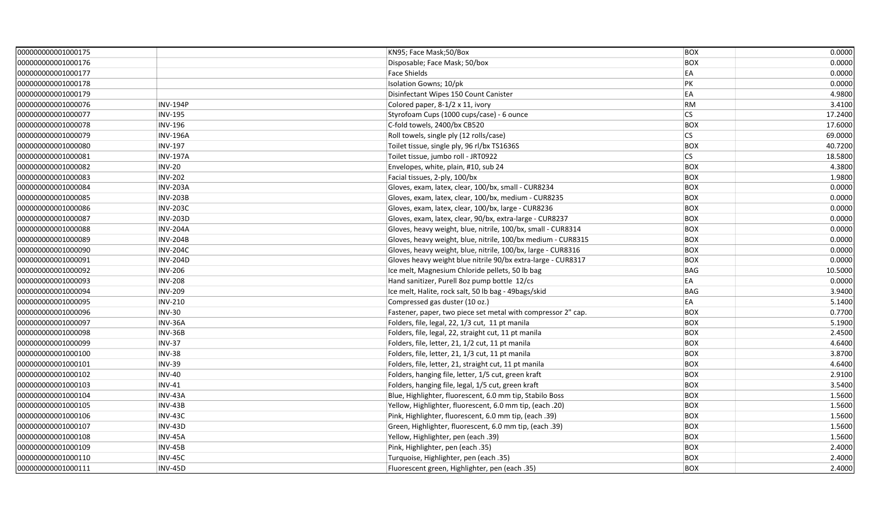| 000000000001000175 |                 | KN95; Face Mask;50/Box                                       | <b>BOX</b> | 0.0000  |
|--------------------|-----------------|--------------------------------------------------------------|------------|---------|
| 000000000001000176 |                 | Disposable; Face Mask; 50/box                                | <b>BOX</b> | 0.0000  |
| 000000000001000177 |                 | <b>Face Shields</b>                                          | EA         | 0.0000  |
| 000000000001000178 |                 | Isolation Gowns; 10/pk                                       | PK         | 0.0000  |
| 000000000001000179 |                 | Disinfectant Wipes 150 Count Canister                        | EA         | 4.9800  |
| 000000000001000076 | <b>INV-194P</b> | Colored paper, 8-1/2 x 11, ivory                             | RM         | 3.4100  |
| 000000000001000077 | <b>INV-195</b>  | Styrofoam Cups (1000 cups/case) - 6 ounce                    | <b>CS</b>  | 17.2400 |
| 000000000001000078 | <b>INV-196</b>  | C-fold towels, 2400/bx CB520                                 | <b>BOX</b> | 17.6000 |
| 000000000001000079 | <b>INV-196A</b> | Roll towels, single ply (12 rolls/case)                      | <b>CS</b>  | 69.0000 |
| 000000000001000080 | <b>INV-197</b>  | Toilet tissue, single ply, 96 rl/bx TS1636S                  | <b>BOX</b> | 40.7200 |
| 000000000001000081 | <b>INV-197A</b> | Toilet tissue, jumbo roll - JRT0922                          | <b>CS</b>  | 18.5800 |
| 000000000001000082 | <b>INV-20</b>   | Envelopes, white, plain, #10, sub 24                         | <b>BOX</b> | 4.3800  |
| 000000000001000083 | <b>INV-202</b>  | Facial tissues, 2-ply, 100/bx                                | <b>BOX</b> | 1.9800  |
| 000000000001000084 | <b>INV-203A</b> | Gloves, exam, latex, clear, 100/bx, small - CUR8234          | <b>BOX</b> | 0.0000  |
| 000000000001000085 | <b>INV-203B</b> | Gloves, exam, latex, clear, 100/bx, medium - CUR8235         | <b>BOX</b> | 0.0000  |
| 000000000001000086 | <b>INV-203C</b> | Gloves, exam, latex, clear, 100/bx, large - CUR8236          | <b>BOX</b> | 0.0000  |
| 000000000001000087 | <b>INV-203D</b> | Gloves, exam, latex, clear, 90/bx, extra-large - CUR8237     | <b>BOX</b> | 0.0000  |
| 000000000001000088 | <b>INV-204A</b> | Gloves, heavy weight, blue, nitrile, 100/bx, small - CUR8314 | <b>BOX</b> | 0.0000  |
| 000000000001000089 | <b>INV-204B</b> | Gloves, heavy weight, blue, nitrile, 100/bx medium - CUR8315 | <b>BOX</b> | 0.0000  |
| 000000000001000090 | <b>INV-204C</b> | Gloves, heavy weight, blue, nitrile, 100/bx, large - CUR8316 | <b>BOX</b> | 0.0000  |
| 000000000001000091 | <b>INV-204D</b> | Gloves heavy weight blue nitrile 90/bx extra-large - CUR8317 | <b>BOX</b> | 0.0000  |
| 000000000001000092 | <b>INV-206</b>  | Ice melt, Magnesium Chloride pellets, 50 lb bag              | <b>BAG</b> | 10.5000 |
| 000000000001000093 | <b>INV-208</b>  | Hand sanitizer, Purell 8oz pump bottle 12/cs                 | EA         | 0.0000  |
| 000000000001000094 | <b>INV-209</b>  | Ice melt, Halite, rock salt, 50 lb bag - 49bags/skid         | <b>BAG</b> | 3.9400  |
| 000000000001000095 | <b>INV-210</b>  | Compressed gas duster (10 oz.)                               | EA         | 5.1400  |
| 000000000001000096 | <b>INV-30</b>   | Fastener, paper, two piece set metal with compressor 2" cap. | <b>BOX</b> | 0.7700  |
| 000000000001000097 | INV-36A         | Folders, file, legal, 22, 1/3 cut, 11 pt manila              | <b>BOX</b> | 5.1900  |
| 000000000001000098 | <b>INV-36B</b>  | Folders, file, legal, 22, straight cut, 11 pt manila         | <b>BOX</b> | 2.4500  |
| 000000000001000099 | <b>INV-37</b>   | Folders, file, letter, 21, 1/2 cut, 11 pt manila             | <b>BOX</b> | 4.6400  |
| 000000000001000100 | <b>INV-38</b>   | Folders, file, letter, 21, 1/3 cut, 11 pt manila             | <b>BOX</b> | 3.8700  |
| 000000000001000101 | <b>INV-39</b>   | Folders, file, letter, 21, straight cut, 11 pt manila        | <b>BOX</b> | 4.6400  |
| 000000000001000102 | $INV-40$        | Folders, hanging file, letter, 1/5 cut, green kraft          | <b>BOX</b> | 2.9100  |
| 000000000001000103 | $INV-41$        | Folders, hanging file, legal, 1/5 cut, green kraft           | <b>BOX</b> | 3.5400  |
| 000000000001000104 | INV-43A         | Blue, Highlighter, fluorescent, 6.0 mm tip, Stabilo Boss     | <b>BOX</b> | 1.5600  |
| 000000000001000105 | <b>INV-43B</b>  | Yellow, Highlighter, fluorescent, 6.0 mm tip, (each .20)     | <b>BOX</b> | 1.5600  |
| 000000000001000106 | <b>INV-43C</b>  | Pink, Highlighter, fluorescent, 6.0 mm tip, (each .39)       | <b>BOX</b> | 1.5600  |
| 000000000001000107 | <b>INV-43D</b>  | Green, Highlighter, fluorescent, 6.0 mm tip, (each .39)      | <b>BOX</b> | 1.5600  |
| 000000000001000108 | <b>INV-45A</b>  | Yellow, Highlighter, pen (each .39)                          | <b>BOX</b> | 1.5600  |
| 000000000001000109 | <b>INV-45B</b>  | Pink, Highlighter, pen (each .35)                            | <b>BOX</b> | 2.4000  |
| 000000000001000110 | <b>INV-45C</b>  | Turquoise, Highlighter, pen (each .35)                       | <b>BOX</b> | 2.4000  |
| 000000000001000111 | <b>INV-45D</b>  | Fluorescent green, Highlighter, pen (each .35)               | <b>BOX</b> | 2.4000  |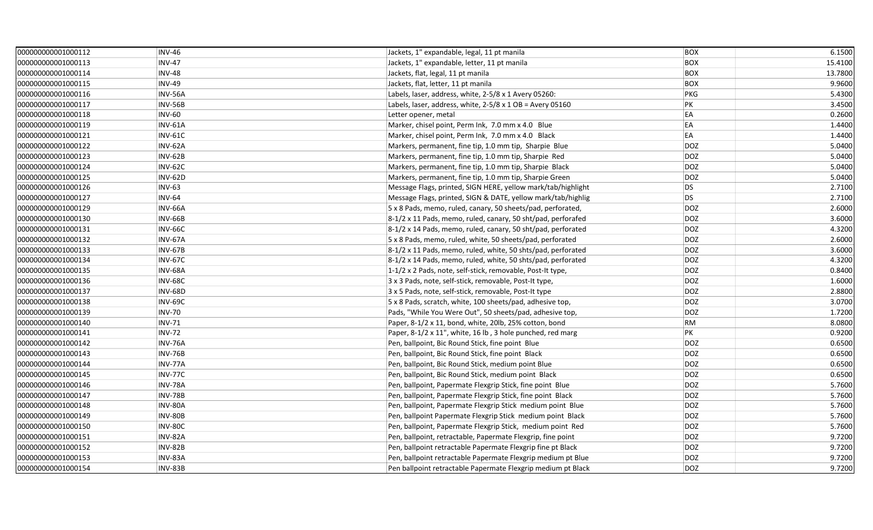| 000000000001000112 | <b>INV-46</b>  | Jackets, 1" expandable, legal, 11 pt manila                  | <b>BOX</b> | 6.1500  |
|--------------------|----------------|--------------------------------------------------------------|------------|---------|
| 000000000001000113 | <b>INV-47</b>  | Jackets, 1" expandable, letter, 11 pt manila                 | <b>BOX</b> | 15.4100 |
| 000000000001000114 | <b>INV-48</b>  | Jackets, flat, legal, 11 pt manila                           | <b>BOX</b> | 13.7800 |
| 000000000001000115 | <b>INV-49</b>  | Jackets, flat, letter, 11 pt manila                          | <b>BOX</b> | 9.9600  |
| 000000000001000116 | <b>INV-56A</b> | Labels, laser, address, white, 2-5/8 x 1 Avery 05260:        | PKG        | 5.4300  |
| 000000000001000117 | <b>INV-56B</b> | Labels, laser, address, white, 2-5/8 x 1 OB = Avery 05160    | PK         | 3.4500  |
| 000000000001000118 | <b>INV-60</b>  | Letter opener, metal                                         | EA         | 0.2600  |
| 000000000001000119 | <b>INV-61A</b> | Marker, chisel point, Perm Ink, 7.0 mm x 4.0 Blue            | EA         | 1.4400  |
| 000000000001000121 | <b>INV-61C</b> | Marker, chisel point, Perm Ink, 7.0 mm x 4.0 Black           | EA         | 1.4400  |
| 000000000001000122 | <b>INV-62A</b> | Markers, permanent, fine tip, 1.0 mm tip, Sharpie Blue       | <b>DOZ</b> | 5.0400  |
| 000000000001000123 | <b>INV-62B</b> | Markers, permanent, fine tip, 1.0 mm tip, Sharpie Red        | <b>DOZ</b> | 5.0400  |
| 000000000001000124 | INV-62C        | Markers, permanent, fine tip, 1.0 mm tip, Sharpie Black      | <b>DOZ</b> | 5.0400  |
| 000000000001000125 | <b>INV-62D</b> | Markers, permanent, fine tip, 1.0 mm tip, Sharpie Green      | <b>DOZ</b> | 5.0400  |
| 000000000001000126 | <b>INV-63</b>  | Message Flags, printed, SIGN HERE, yellow mark/tab/highlight | DS         | 2.7100  |
| 000000000001000127 | <b>INV-64</b>  | Message Flags, printed, SIGN & DATE, yellow mark/tab/highlig | <b>DS</b>  | 2.7100  |
| 000000000001000129 | <b>INV-66A</b> | 5 x 8 Pads, memo, ruled, canary, 50 sheets/pad, perforated,  | DOZ        | 2.6000  |
| 000000000001000130 | <b>INV-66B</b> | 8-1/2 x 11 Pads, memo, ruled, canary, 50 sht/pad, perforafed | <b>DOZ</b> | 3.6000  |
| 000000000001000131 | <b>INV-66C</b> | 8-1/2 x 14 Pads, memo, ruled, canary, 50 sht/pad, perforated | <b>DOZ</b> | 4.3200  |
| 000000000001000132 | <b>INV-67A</b> | 5 x 8 Pads, memo, ruled, white, 50 sheets/pad, perforated    | <b>DOZ</b> | 2.6000  |
| 000000000001000133 | <b>INV-67B</b> | 8-1/2 x 11 Pads, memo, ruled, white, 50 shts/pad, perforated | <b>DOZ</b> | 3.6000  |
| 000000000001000134 | <b>INV-67C</b> | 8-1/2 x 14 Pads, memo, ruled, white, 50 shts/pad, perforated | DOZ        | 4.3200  |
| 000000000001000135 | <b>INV-68A</b> | 1-1/2 x 2 Pads, note, self-stick, removable, Post-It type,   | <b>DOZ</b> | 0.8400  |
| 000000000001000136 | <b>INV-68C</b> | 3 x 3 Pads, note, self-stick, removable, Post-It type,       | <b>DOZ</b> | 1.6000  |
| 000000000001000137 | <b>INV-68D</b> | 3 x 5 Pads, note, self-stick, removable, Post-It type        | <b>DOZ</b> | 2.8800  |
| 000000000001000138 | INV-69C        | 5 x 8 Pads, scratch, white, 100 sheets/pad, adhesive top,    | <b>DOZ</b> | 3.0700  |
| 000000000001000139 | <b>INV-70</b>  | Pads, "While You Were Out", 50 sheets/pad, adhesive top,     | <b>DOZ</b> | 1.7200  |
| 000000000001000140 | <b>INV-71</b>  | Paper, 8-1/2 x 11, bond, white, 20lb, 25% cotton, bond       | <b>RM</b>  | 8.0800  |
| 000000000001000141 | <b>INV-72</b>  | Paper, 8-1/2 x 11", white, 16 lb, 3 hole punched, red marg   | PK         | 0.9200  |
| 000000000001000142 | INV-76A        | Pen, ballpoint, Bic Round Stick, fine point Blue             | DOZ        | 0.6500  |
| 000000000001000143 | <b>INV-76B</b> | Pen, ballpoint, Bic Round Stick, fine point Black            | <b>DOZ</b> | 0.6500  |
| 000000000001000144 | <b>INV-77A</b> | Pen, ballpoint, Bic Round Stick, medium point Blue           | <b>DOZ</b> | 0.6500  |
| 000000000001000145 | INV-77C        | Pen, ballpoint, Bic Round Stick, medium point Black          | <b>DOZ</b> | 0.6500  |
| 000000000001000146 | <b>INV-78A</b> | Pen, ballpoint, Papermate Flexgrip Stick, fine point Blue    | <b>DOZ</b> | 5.7600  |
| 000000000001000147 | <b>INV-78B</b> | Pen, ballpoint, Papermate Flexgrip Stick, fine point Black   | <b>DOZ</b> | 5.7600  |
| 000000000001000148 | <b>INV-80A</b> | Pen, ballpoint, Papermate Flexgrip Stick medium point Blue   | <b>DOZ</b> | 5.7600  |
| 000000000001000149 | <b>INV-80B</b> | Pen, ballpoint Papermate Flexgrip Stick medium point Black   | DOZ        | 5.7600  |
| 000000000001000150 | INV-80C        | Pen, ballpoint, Papermate Flexgrip Stick, medium point Red   | <b>DOZ</b> | 5.7600  |
| 000000000001000151 | <b>INV-82A</b> | Pen, ballpoint, retractable, Papermate Flexgrip, fine point  | <b>DOZ</b> | 9.7200  |
| 000000000001000152 | <b>INV-82B</b> | Pen, ballpoint retractable Papermate Flexgrip fine pt Black  | <b>DOZ</b> | 9.7200  |
| 000000000001000153 | INV-83A        | Pen, ballpoint retractable Papermate Flexgrip medium pt Blue | <b>DOZ</b> | 9.7200  |
| 000000000001000154 | <b>INV-83B</b> | Pen ballpoint retractable Papermate Flexgrip medium pt Black | <b>DOZ</b> | 9.7200  |